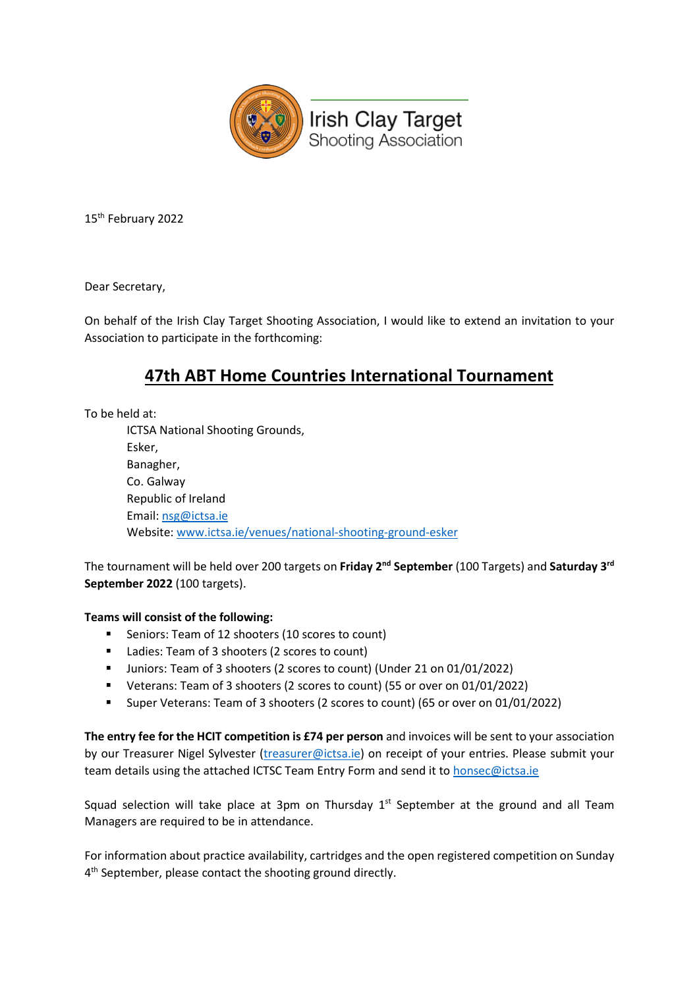

15th February 2022

Dear Secretary,

On behalf of the Irish Clay Target Shooting Association, I would like to extend an invitation to your Association to participate in the forthcoming:

## **47th ABT Home Countries International Tournament**

To be held at:

ICTSA National Shooting Grounds, Esker, Banagher, Co. Galway Republic of Ireland Email: [nsg@ictsa.ie](mailto:nsg@ictsa.ie) Website[: www.ictsa.ie/venues/national-shooting-ground-esker](https://www.ictsa.ie/venues/national-shooting-ground-esker)

The tournament will be held over 200 targets on **Friday 2nd September** (100 Targets) and **Saturday 3rd September 2022** (100 targets).

## **Teams will consist of the following:**

- **Seniors: Team of 12 shooters (10 scores to count)**
- Ladies: Team of 3 shooters (2 scores to count)
- Juniors: Team of 3 shooters (2 scores to count) (Under 21 on 01/01/2022)
- Veterans: Team of 3 shooters (2 scores to count) (55 or over on 01/01/2022)
- Super Veterans: Team of 3 shooters (2 scores to count) (65 or over on 01/01/2022)

**The entry fee for the HCIT competition is £74 per person** and invoices will be sent to your association by our Treasurer Nigel Sylvester [\(treasurer@ictsa.ie\)](mailto:treasurer@ictsa.ie) on receipt of your entries. Please submit your team details using the attached ICTSC Team Entry Form and send it to [honsec@ictsa.ie](mailto:honsec@ictsa.ie)

Squad selection will take place at 3pm on Thursday  $1<sup>st</sup>$  September at the ground and all Team Managers are required to be in attendance.

For information about practice availability, cartridges and the open registered competition on Sunday 4<sup>th</sup> September, please contact the shooting ground directly.